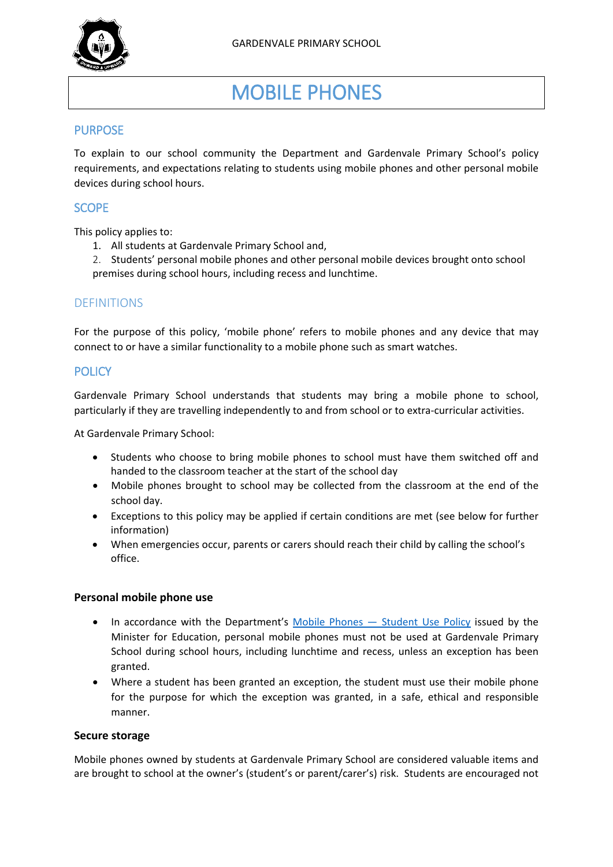

# MOBILE PHONES

# PURPOSE

To explain to our school community the Department and Gardenvale Primary School's policy requirements, and expectations relating to students using mobile phones and other personal mobile devices during school hours.

## **SCOPE**

This policy applies to:

- 1. All students at Gardenvale Primary School and,
- 2. Students' personal mobile phones and other personal mobile devices brought onto school premises during school hours, including recess and lunchtime.

## DEFINITIONS

For the purpose of this policy, 'mobile phone' refers to mobile phones and any device that may connect to or have a similar functionality to a mobile phone such as smart watches.

## **POLICY**

Gardenvale Primary School understands that students may bring a mobile phone to school, particularly if they are travelling independently to and from school or to extra-curricular activities.

At Gardenvale Primary School:

- Students who choose to bring mobile phones to school must have them switched off and handed to the classroom teacher at the start of the school day
- Mobile phones brought to school may be collected from the classroom at the end of the school day.
- Exceptions to this policy may be applied if certain conditions are met (see below for further information)
- When emergencies occur, parents or carers should reach their child by calling the school's office.

#### **Personal mobile phone use**

- In accordance with the Department's [Mobile Phones](https://www2.education.vic.gov.au/pal/students-using-mobile-phones/policy) Student Use Policy issued by the Minister for Education, personal mobile phones must not be used at Gardenvale Primary School during school hours, including lunchtime and recess, unless an exception has been granted.
- Where a student has been granted an exception, the student must use their mobile phone for the purpose for which the exception was granted, in a safe, ethical and responsible manner.

#### **Secure storage**

Mobile phones owned by students at Gardenvale Primary School are considered valuable items and are brought to school at the owner's (student's or parent/carer's) risk. Students are encouraged not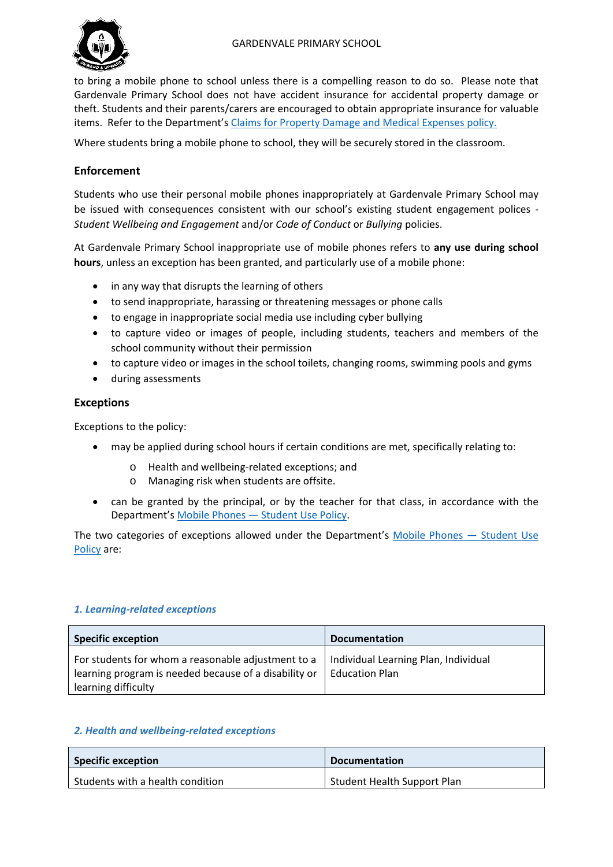

to bring a mobile phone to school unless there is a compelling reason to do so. Please note that Gardenvale Primary School does not have accident insurance for accidental property damage or theft. Students and their parents/carers are encouraged to obtain appropriate insurance for valuable items. Refer to the Department's [Claims for Property Damage and Medical Expenses](https://www2.education.vic.gov.au/pal/claims-property-damage-and-medical-expenses/policy) policy.

Where students bring a mobile phone to school, they will be securely stored in the classroom.

# **Enforcement**

Students who use their personal mobile phones inappropriately at Gardenvale Primary School may be issued with consequences consistent with our school's existing student engagement polices - *Student Wellbeing and Engagement* and/or *Code of Conduct* or *Bullying* policies.

At Gardenvale Primary School inappropriate use of mobile phones refers to **any use during school hours**, unless an exception has been granted, and particularly use of a mobile phone:

- in any way that disrupts the learning of others
- to send inappropriate, harassing or threatening messages or phone calls
- to engage in inappropriate social media use including cyber bullying
- to capture video or images of people, including students, teachers and members of the school community without their permission
- to capture video or images in the school toilets, changing rooms, swimming pools and gyms
- during assessments

## **Exceptions**

Exceptions to the policy:

- may be applied during school hours if certain conditions are met, specifically relating to:
	- o Health and wellbeing-related exceptions; and
	- o Managing risk when students are offsite.
- can be granted by the principal, or by the teacher for that class, in accordance with the Department's Mobile Phones — [Student Use Policy.](https://www2.education.vic.gov.au/pal/students-using-mobile-phones/policy)

The two categories of exceptions allowed under the Department's [Mobile Phones —](https://www2.education.vic.gov.au/pal/students-using-mobile-phones/policy) Student Use [Policy](https://www2.education.vic.gov.au/pal/students-using-mobile-phones/policy) are:

## *1. Learning-related exceptions*

| <b>Specific exception</b>                                                                                                          | <b>Documentation</b>                                          |
|------------------------------------------------------------------------------------------------------------------------------------|---------------------------------------------------------------|
| For students for whom a reasonable adjustment to a<br>learning program is needed because of a disability or<br>learning difficulty | Individual Learning Plan, Individual<br><b>Education Plan</b> |

#### *2. Health and wellbeing-related exceptions*

| <b>Specific exception</b>        | <b>Documentation</b>        |
|----------------------------------|-----------------------------|
| Students with a health condition | Student Health Support Plan |